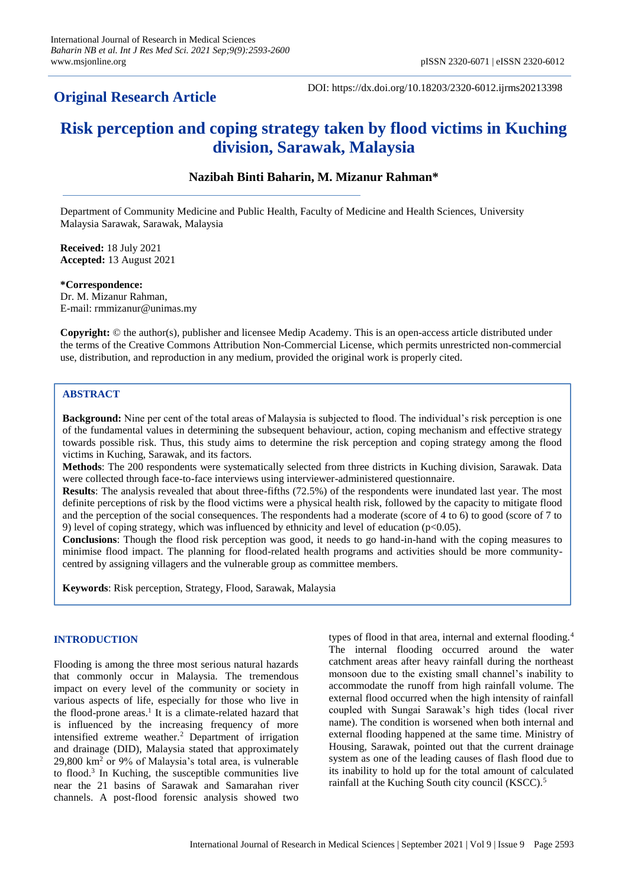## **Original Research Article**

DOI: https://dx.doi.org/10.18203/2320-6012.ijrms20213398

# **Risk perception and coping strategy taken by flood victims in Kuching division, Sarawak, Malaysia**

## **Nazibah Binti Baharin, M. Mizanur Rahman\***

Department of Community Medicine and Public Health, Faculty of Medicine and Health Sciences, University Malaysia Sarawak, Sarawak, Malaysia

**Received:** 18 July 2021 **Accepted:** 13 August 2021

**\*Correspondence:** Dr. M. Mizanur Rahman, E-mail: rmmizanur@unimas.my

**Copyright:** © the author(s), publisher and licensee Medip Academy. This is an open-access article distributed under the terms of the Creative Commons Attribution Non-Commercial License, which permits unrestricted non-commercial use, distribution, and reproduction in any medium, provided the original work is properly cited.

## **ABSTRACT**

**Background:** Nine per cent of the total areas of Malaysia is subjected to flood. The individual's risk perception is one of the fundamental values in determining the subsequent behaviour, action, coping mechanism and effective strategy towards possible risk. Thus, this study aims to determine the risk perception and coping strategy among the flood victims in Kuching, Sarawak, and its factors.

**Methods**: The 200 respondents were systematically selected from three districts in Kuching division, Sarawak. Data were collected through face-to-face interviews using interviewer-administered questionnaire.

**Results**: The analysis revealed that about three-fifths (72.5%) of the respondents were inundated last year. The most definite perceptions of risk by the flood victims were a physical health risk, followed by the capacity to mitigate flood and the perception of the social consequences. The respondents had a moderate (score of 4 to 6) to good (score of 7 to 9) level of coping strategy, which was influenced by ethnicity and level of education ( $p<0.05$ ).

**Conclusions**: Though the flood risk perception was good, it needs to go hand-in-hand with the coping measures to minimise flood impact. The planning for flood-related health programs and activities should be more communitycentred by assigning villagers and the vulnerable group as committee members.

**Keywords**: Risk perception, Strategy, Flood, Sarawak, Malaysia

## **INTRODUCTION**

Flooding is among the three most serious natural hazards that commonly occur in Malaysia. The tremendous impact on every level of the community or society in various aspects of life, especially for those who live in the flood-prone areas.<sup>1</sup> It is a climate-related hazard that is influenced by the increasing frequency of more intensified extreme weather.<sup>2</sup> Department of irrigation and drainage (DID), Malaysia stated that approximately 29,800 km<sup>2</sup> or 9% of Malaysia's total area, is vulnerable to flood.<sup>3</sup> In Kuching, the susceptible communities live near the 21 basins of Sarawak and Samarahan river channels. A post-flood forensic analysis showed two

types of flood in that area, internal and external flooding.<sup>4</sup> The internal flooding occurred around the water catchment areas after heavy rainfall during the northeast monsoon due to the existing small channel's inability to accommodate the runoff from high rainfall volume. The external flood occurred when the high intensity of rainfall coupled with Sungai Sarawak's high tides (local river name). The condition is worsened when both internal and external flooding happened at the same time. Ministry of Housing, Sarawak, pointed out that the current drainage system as one of the leading causes of flash flood due to its inability to hold up for the total amount of calculated rainfall at the Kuching South city council (KSCC).<sup>5</sup>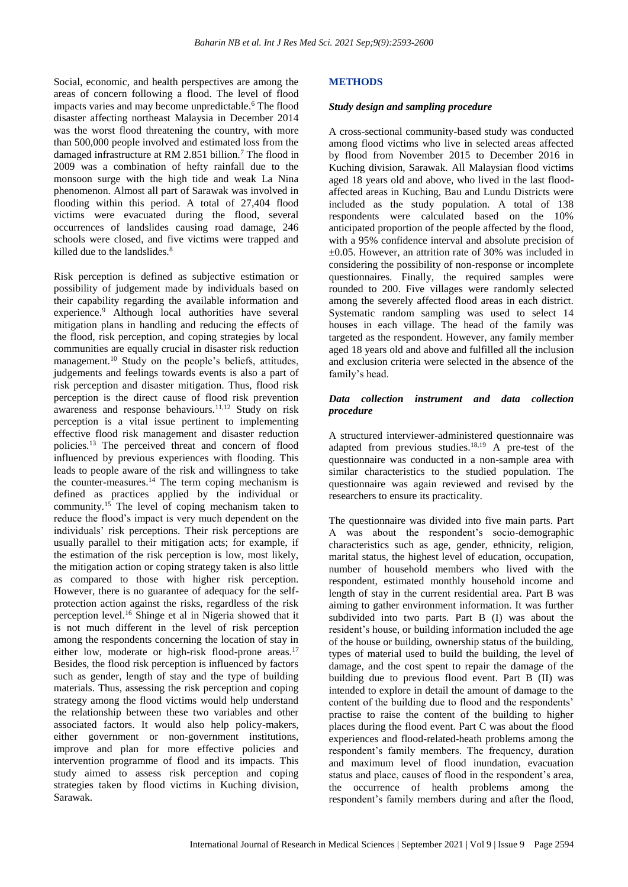Social, economic, and health perspectives are among the areas of concern following a flood. The level of flood impacts varies and may become unpredictable.<sup>6</sup> The flood disaster affecting northeast Malaysia in December 2014 was the worst flood threatening the country, with more than 500,000 people involved and estimated loss from the damaged infrastructure at RM 2.851 billion.<sup>7</sup> The flood in 2009 was a combination of hefty rainfall due to the monsoon surge with the high tide and weak La Nina phenomenon. Almost all part of Sarawak was involved in flooding within this period. A total of 27,404 flood victims were evacuated during the flood, several occurrences of landslides causing road damage, 246 schools were closed, and five victims were trapped and killed due to the landslides.<sup>8</sup>

Risk perception is defined as subjective estimation or possibility of judgement made by individuals based on their capability regarding the available information and experience.<sup>9</sup> Although local authorities have several mitigation plans in handling and reducing the effects of the flood, risk perception, and coping strategies by local communities are equally crucial in disaster risk reduction management.<sup>10</sup> Study on the people's beliefs, attitudes, judgements and feelings towards events is also a part of risk perception and disaster mitigation. Thus, flood risk perception is the direct cause of flood risk prevention awareness and response behaviours.<sup>11,12</sup> Study on risk perception is a vital issue pertinent to implementing effective flood risk management and disaster reduction policies.<sup>13</sup> The perceived threat and concern of flood influenced by previous experiences with flooding. This leads to people aware of the risk and willingness to take the counter-measures.<sup>14</sup> The term coping mechanism is defined as practices applied by the individual or community.<sup>15</sup> The level of coping mechanism taken to reduce the flood's impact is very much dependent on the individuals' risk perceptions. Their risk perceptions are usually parallel to their mitigation acts; for example, if the estimation of the risk perception is low, most likely, the mitigation action or coping strategy taken is also little as compared to those with higher risk perception. However, there is no guarantee of adequacy for the selfprotection action against the risks, regardless of the risk perception level.<sup>16</sup> Shinge et al in Nigeria showed that it is not much different in the level of risk perception among the respondents concerning the location of stay in either low, moderate or high-risk flood-prone areas.<sup>17</sup> Besides, the flood risk perception is influenced by factors such as gender, length of stay and the type of building materials. Thus, assessing the risk perception and coping strategy among the flood victims would help understand the relationship between these two variables and other associated factors. It would also help policy-makers, either government or non-government institutions, improve and plan for more effective policies and intervention programme of flood and its impacts. This study aimed to assess risk perception and coping strategies taken by flood victims in Kuching division, Sarawak.

#### **METHODS**

#### *Study design and sampling procedure*

A cross-sectional community-based study was conducted among flood victims who live in selected areas affected by flood from November 2015 to December 2016 in Kuching division, Sarawak. All Malaysian flood victims aged 18 years old and above, who lived in the last floodaffected areas in Kuching, Bau and Lundu Districts were included as the study population. A total of 138 respondents were calculated based on the 10% anticipated proportion of the people affected by the flood, with a 95% confidence interval and absolute precision of ±0.05. However, an attrition rate of 30% was included in considering the possibility of non-response or incomplete questionnaires. Finally, the required samples were rounded to 200. Five villages were randomly selected among the severely affected flood areas in each district. Systematic random sampling was used to select 14 houses in each village. The head of the family was targeted as the respondent. However, any family member aged 18 years old and above and fulfilled all the inclusion and exclusion criteria were selected in the absence of the family's head.

#### *Data collection instrument and data collection procedure*

A structured interviewer-administered questionnaire was adapted from previous studies.<sup>18,19</sup> A pre-test of the questionnaire was conducted in a non-sample area with similar characteristics to the studied population. The questionnaire was again reviewed and revised by the researchers to ensure its practicality.

The questionnaire was divided into five main parts. Part A was about the respondent's socio-demographic characteristics such as age, gender, ethnicity, religion, marital status, the highest level of education, occupation, number of household members who lived with the respondent, estimated monthly household income and length of stay in the current residential area. Part B was aiming to gather environment information. It was further subdivided into two parts. Part B (I) was about the resident's house, or building information included the age of the house or building, ownership status of the building, types of material used to build the building, the level of damage, and the cost spent to repair the damage of the building due to previous flood event. Part B (II) was intended to explore in detail the amount of damage to the content of the building due to flood and the respondents' practise to raise the content of the building to higher places during the flood event. Part C was about the flood experiences and flood-related-heath problems among the respondent's family members. The frequency, duration and maximum level of flood inundation, evacuation status and place, causes of flood in the respondent's area, the occurrence of health problems among the respondent's family members during and after the flood,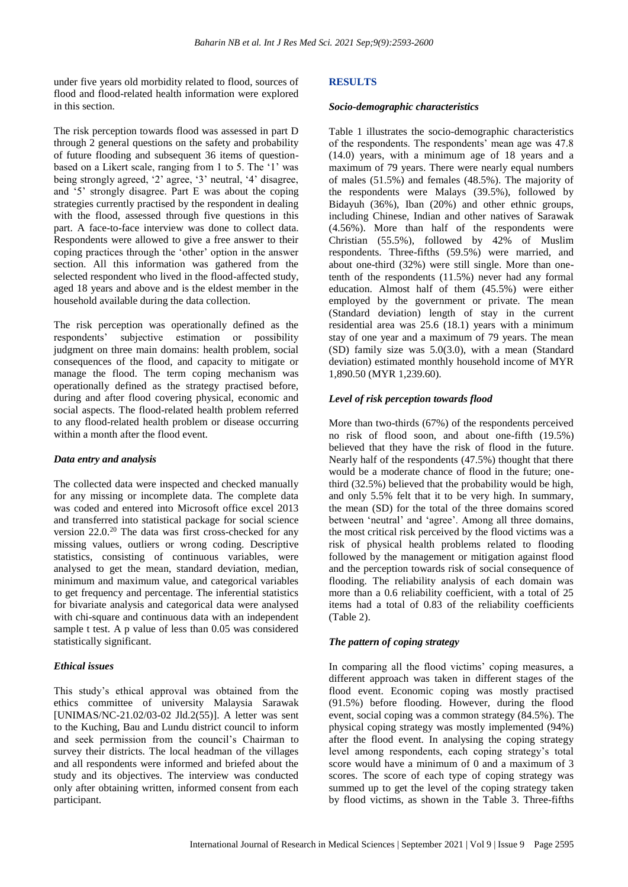under five years old morbidity related to flood, sources of flood and flood-related health information were explored in this section.

The risk perception towards flood was assessed in part D through 2 general questions on the safety and probability of future flooding and subsequent 36 items of questionbased on a Likert scale, ranging from 1 to 5. The '1' was being strongly agreed, '2' agree, '3' neutral, '4' disagree, and '5' strongly disagree. Part E was about the coping strategies currently practised by the respondent in dealing with the flood, assessed through five questions in this part. A face-to-face interview was done to collect data. Respondents were allowed to give a free answer to their coping practices through the 'other' option in the answer section. All this information was gathered from the selected respondent who lived in the flood-affected study, aged 18 years and above and is the eldest member in the household available during the data collection.

The risk perception was operationally defined as the respondents' subjective estimation or possibility judgment on three main domains: health problem, social consequences of the flood, and capacity to mitigate or manage the flood. The term coping mechanism was operationally defined as the strategy practised before, during and after flood covering physical, economic and social aspects. The flood-related health problem referred to any flood-related health problem or disease occurring within a month after the flood event.

## *Data entry and analysis*

The collected data were inspected and checked manually for any missing or incomplete data. The complete data was coded and entered into Microsoft office excel 2013 and transferred into statistical package for social science version  $22.0^{20}$  The data was first cross-checked for any missing values, outliers or wrong coding. Descriptive statistics, consisting of continuous variables, were analysed to get the mean, standard deviation, median, minimum and maximum value, and categorical variables to get frequency and percentage. The inferential statistics for bivariate analysis and categorical data were analysed with chi-square and continuous data with an independent sample t test. A p value of less than 0.05 was considered statistically significant.

## *Ethical issues*

This study's ethical approval was obtained from the ethics committee of university Malaysia Sarawak [UNIMAS/NC-21.02/03-02 Jld.2(55)]. A letter was sent to the Kuching, Bau and Lundu district council to inform and seek permission from the council's Chairman to survey their districts. The local headman of the villages and all respondents were informed and briefed about the study and its objectives. The interview was conducted only after obtaining written, informed consent from each participant.

#### **RESULTS**

#### *Socio-demographic characteristics*

Table 1 illustrates the socio-demographic characteristics of the respondents. The respondents' mean age was 47.8 (14.0) years, with a minimum age of 18 years and a maximum of 79 years. There were nearly equal numbers of males (51.5%) and females (48.5%). The majority of the respondents were Malays (39.5%), followed by Bidayuh (36%), Iban (20%) and other ethnic groups, including Chinese, Indian and other natives of Sarawak (4.56%). More than half of the respondents were Christian (55.5%), followed by 42% of Muslim respondents. Three-fifths (59.5%) were married, and about one-third (32%) were still single. More than onetenth of the respondents (11.5%) never had any formal education. Almost half of them (45.5%) were either employed by the government or private. The mean (Standard deviation) length of stay in the current residential area was 25.6 (18.1) years with a minimum stay of one year and a maximum of 79 years. The mean (SD) family size was 5.0(3.0), with a mean (Standard deviation) estimated monthly household income of MYR 1,890.50 (MYR 1,239.60).

#### *Level of risk perception towards flood*

More than two-thirds (67%) of the respondents perceived no risk of flood soon, and about one-fifth (19.5%) believed that they have the risk of flood in the future. Nearly half of the respondents (47.5%) thought that there would be a moderate chance of flood in the future; onethird (32.5%) believed that the probability would be high, and only 5.5% felt that it to be very high. In summary, the mean (SD) for the total of the three domains scored between 'neutral' and 'agree'. Among all three domains, the most critical risk perceived by the flood victims was a risk of physical health problems related to flooding followed by the management or mitigation against flood and the perception towards risk of social consequence of flooding. The reliability analysis of each domain was more than a 0.6 reliability coefficient, with a total of 25 items had a total of 0.83 of the reliability coefficients (Table 2).

#### *The pattern of coping strategy*

In comparing all the flood victims' coping measures, a different approach was taken in different stages of the flood event. Economic coping was mostly practised (91.5%) before flooding. However, during the flood event, social coping was a common strategy (84.5%). The physical coping strategy was mostly implemented (94%) after the flood event. In analysing the coping strategy level among respondents, each coping strategy's total score would have a minimum of 0 and a maximum of 3 scores. The score of each type of coping strategy was summed up to get the level of the coping strategy taken by flood victims, as shown in the Table 3. Three-fifths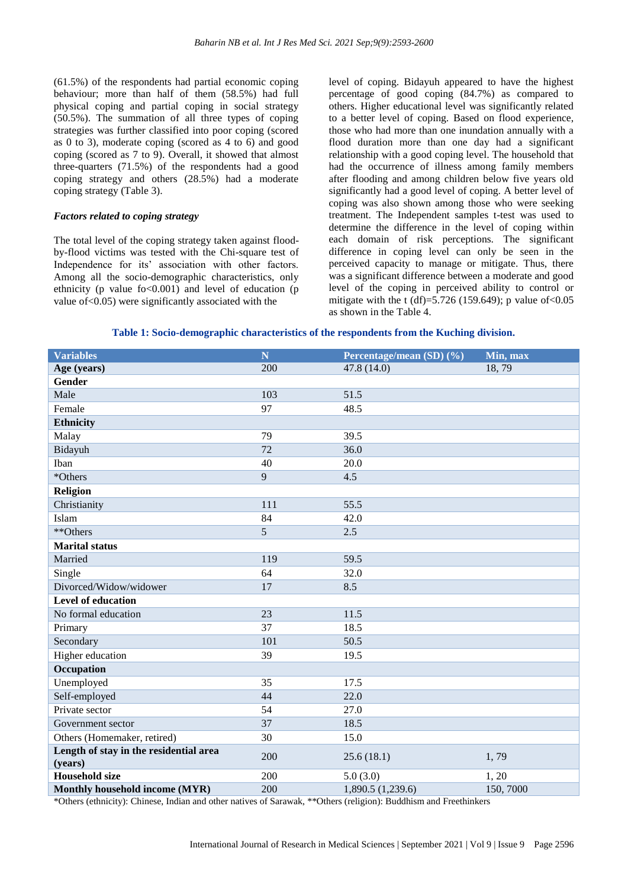(61.5%) of the respondents had partial economic coping behaviour; more than half of them (58.5%) had full physical coping and partial coping in social strategy (50.5%). The summation of all three types of coping strategies was further classified into poor coping (scored as 0 to 3), moderate coping (scored as 4 to 6) and good coping (scored as 7 to 9). Overall, it showed that almost three-quarters (71.5%) of the respondents had a good coping strategy and others (28.5%) had a moderate coping strategy (Table 3).

#### *Factors related to coping strategy*

The total level of the coping strategy taken against floodby-flood victims was tested with the Chi-square test of Independence for its' association with other factors. Among all the socio-demographic characteristics, only ethnicity ( $p$  value fo $< 0.001$ ) and level of education ( $p$ ) value of<0.05) were significantly associated with the

level of coping. Bidayuh appeared to have the highest percentage of good coping (84.7%) as compared to others. Higher educational level was significantly related to a better level of coping. Based on flood experience, those who had more than one inundation annually with a flood duration more than one day had a significant relationship with a good coping level. The household that had the occurrence of illness among family members after flooding and among children below five years old significantly had a good level of coping. A better level of coping was also shown among those who were seeking treatment. The Independent samples t-test was used to determine the difference in the level of coping within each domain of risk perceptions. The significant difference in coping level can only be seen in the perceived capacity to manage or mitigate. Thus, there was a significant difference between a moderate and good level of the coping in perceived ability to control or mitigate with the t (df)=5.726 (159.649); p value of <0.05 as shown in the Table 4.

#### **Table 1: Socio-demographic characteristics of the respondents from the Kuching division.**

| <b>Variables</b>                                  | $\overline{\mathbf{N}}$ | Percentage/mean (SD) (%)<br>Min, max |          |  |
|---------------------------------------------------|-------------------------|--------------------------------------|----------|--|
| Age (years)                                       | 200                     | 47.8 (14.0)                          | 18,79    |  |
| <b>Gender</b>                                     |                         |                                      |          |  |
| Male                                              | 103                     | 51.5                                 |          |  |
| Female                                            | 97                      | 48.5                                 |          |  |
| <b>Ethnicity</b>                                  |                         |                                      |          |  |
| Malay                                             | 79                      | 39.5                                 |          |  |
| Bidayuh                                           | 72                      | 36.0                                 |          |  |
| Iban                                              | 40                      | 20.0                                 |          |  |
| *Others                                           | 9                       | 4.5                                  |          |  |
| Religion                                          |                         |                                      |          |  |
| Christianity                                      | 111                     | 55.5                                 |          |  |
| Islam                                             | 84                      | 42.0                                 |          |  |
| **Others                                          | 5                       | 2.5                                  |          |  |
| <b>Marital status</b>                             |                         |                                      |          |  |
| Married                                           | 119                     | 59.5                                 |          |  |
| Single                                            | 64                      | 32.0                                 |          |  |
| Divorced/Widow/widower                            | 17                      | 8.5                                  |          |  |
| Level of education                                |                         |                                      |          |  |
| No formal education                               | 23                      | 11.5                                 |          |  |
| Primary                                           | 37                      | 18.5                                 |          |  |
| Secondary                                         | 101                     | 50.5                                 |          |  |
| Higher education                                  | 39                      | 19.5                                 |          |  |
| Occupation                                        |                         |                                      |          |  |
| Unemployed                                        | 35                      | 17.5                                 |          |  |
| Self-employed                                     | 44                      | 22.0                                 |          |  |
| Private sector                                    | 54                      | 27.0                                 |          |  |
| Government sector                                 | 37                      | 18.5                                 |          |  |
| Others (Homemaker, retired)                       | 30                      | 15.0                                 |          |  |
| Length of stay in the residential area<br>(years) | 200                     | 25.6(18.1)                           | 1,79     |  |
| <b>Household size</b>                             | 200                     | 5.0(3.0)                             | 1, 20    |  |
| Monthly household income (MYR)                    | 200                     | 1,890.5 (1,239.6)                    | 150,7000 |  |

\*Others (ethnicity): Chinese, Indian and other natives of Sarawak, \*\*Others (religion): Buddhism and Freethinkers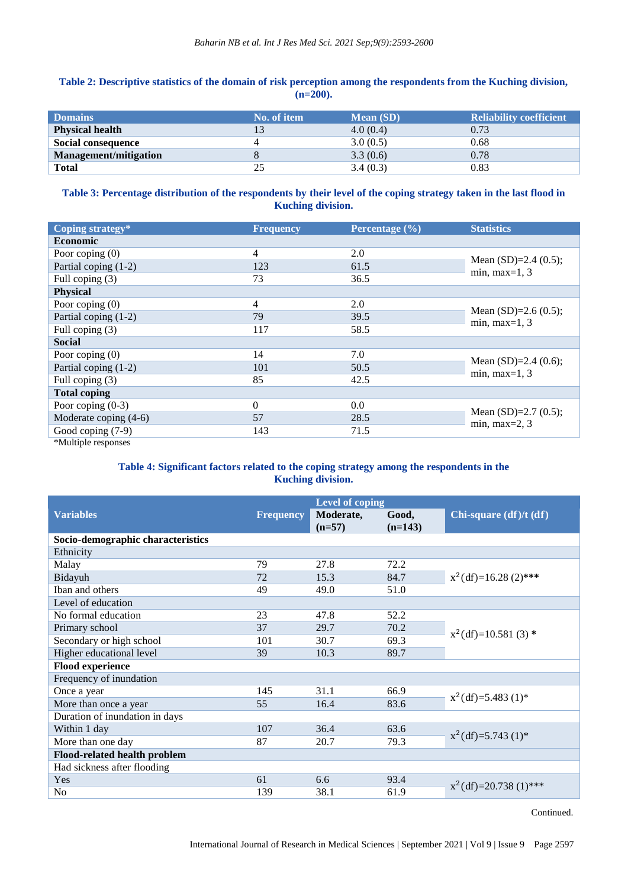## **Table 2: Descriptive statistics of the domain of risk perception among the respondents from the Kuching division, (n=200).**

| <b>Domains</b>               | No. of item | <b>Mean</b> (SD) | <b>Reliability coefficient</b> |
|------------------------------|-------------|------------------|--------------------------------|
| <b>Physical health</b>       |             | 4.0(0.4)         | 0.73                           |
| Social consequence           |             | 3.0(0.5)         | 0.68                           |
| <b>Management/mitigation</b> |             | 3.3(0.6)         | 0.78                           |
| <b>Total</b>                 |             | 3.4(0.3)         | 0.83                           |

## **Table 3: Percentage distribution of the respondents by their level of the coping strategy taken in the last flood in Kuching division.**

| Coping strategy*        | <b>Frequency</b> | Percentage (%) | <b>Statistics</b>                           |  |
|-------------------------|------------------|----------------|---------------------------------------------|--|
| <b>Economic</b>         |                  |                |                                             |  |
| Poor coping $(0)$       | $\overline{4}$   | 2.0            | Mean $(SD)=2.4(0.5)$ ;                      |  |
| Partial coping (1-2)    | 123              | 61.5           |                                             |  |
| Full coping (3)         | 73               | 36.5           | min, max= $1, 3$                            |  |
| <b>Physical</b>         |                  |                |                                             |  |
| Poor coping $(0)$       | $\overline{4}$   | 2.0            | Mean $(SD)=2.6(0.5)$ ;                      |  |
| Partial coping (1-2)    | 79               | 39.5           |                                             |  |
| Full coping (3)         | 117              | 58.5           | min, max= $1, 3$                            |  |
| <b>Social</b>           |                  |                |                                             |  |
| Poor coping $(0)$       | 14               | 7.0            | Mean $(SD)=2.4(0.6)$ ;                      |  |
| Partial coping (1-2)    | 101              | 50.5           |                                             |  |
| Full coping (3)         | 85               | 42.5           | min, max= $1, 3$                            |  |
| <b>Total coping</b>     |                  |                |                                             |  |
| Poor coping $(0-3)$     | $\theta$         | 0.0            | Mean $(SD)=2.7(0.5)$ ;<br>min, max $=$ 2, 3 |  |
| Moderate coping $(4-6)$ | 57               | 28.5           |                                             |  |
| Good coping (7-9)       | 143              | 71.5           |                                             |  |
|                         |                  |                |                                             |  |

\*Multiple responses

## **Table 4: Significant factors related to the coping strategy among the respondents in the Kuching division.**

|                  | <b>Level of coping</b> |                    |                          |
|------------------|------------------------|--------------------|--------------------------|
| <b>Frequency</b> | Moderate,<br>$(n=57)$  | Good,<br>$(n=143)$ | Chi-square $(df)/t (df)$ |
|                  |                        |                    |                          |
|                  |                        |                    |                          |
| 79               | 27.8                   | 72.2               |                          |
| 72               | 15.3                   | 84.7               | $x^2$ (df)=16.28 (2)***  |
| 49               | 49.0                   | 51.0               |                          |
|                  |                        |                    |                          |
| 23               | 47.8                   | 52.2               |                          |
| 37               | 29.7                   | 70.2               | $x^2$ (df)=10.581 (3) *  |
| 101              | 30.7                   | 69.3               |                          |
| 39               | 10.3                   | 89.7               |                          |
|                  |                        |                    |                          |
|                  |                        |                    |                          |
| 145              | 31.1                   | 66.9               | $x^2$ (df)=5.483 (1)*    |
| 55               | 16.4                   | 83.6               |                          |
|                  |                        |                    |                          |
| 107              | 36.4                   | 63.6               | $x^2(df)=5.743(1)^*$     |
| 87               | 20.7                   | 79.3               |                          |
|                  |                        |                    |                          |
|                  |                        |                    |                          |
| 61               | 6.6                    | 93.4               | $x^2$ (df)=20.738 (1)*** |
| 139              | 38.1                   | 61.9               |                          |
|                  |                        |                    |                          |

Continued.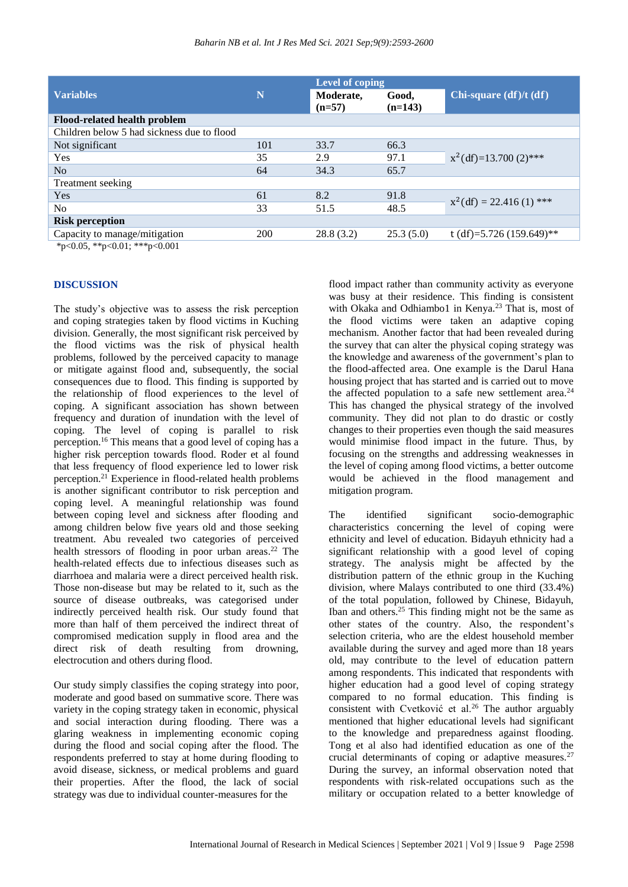|                                            |     | <b>Level of coping</b> |                    |                           |
|--------------------------------------------|-----|------------------------|--------------------|---------------------------|
| <b>Variables</b>                           | N   | Moderate,<br>$(n=57)$  | Good,<br>$(n=143)$ | Chi-square (df)/t (df)    |
| <b>Flood-related health problem</b>        |     |                        |                    |                           |
| Children below 5 had sickness due to flood |     |                        |                    |                           |
| Not significant                            | 101 | 33.7                   | 66.3               | $x^2(df)=13.700(2)$ ***   |
| Yes                                        | 35  | 2.9                    | 97.1               |                           |
| No.                                        | 64  | 34.3                   | 65.7               |                           |
| Treatment seeking                          |     |                        |                    |                           |
| Yes                                        | 61  | 8.2                    | 91.8               | $x^2(df) = 22.416(1)$ *** |
| N <sub>0</sub>                             | 33  | 51.5                   | 48.5               |                           |
| <b>Risk perception</b>                     |     |                        |                    |                           |
| Capacity to manage/mitigation              | 200 | 28.8(3.2)              | 25.3(5.0)          | t (df)=5.726 (159.649)**  |

 $*p<0.05$ ,  $*p<0.01$ ;  $**p<0.001$ 

#### **DISCUSSION**

The study's objective was to assess the risk perception and coping strategies taken by flood victims in Kuching division. Generally, the most significant risk perceived by the flood victims was the risk of physical health problems, followed by the perceived capacity to manage or mitigate against flood and, subsequently, the social consequences due to flood. This finding is supported by the relationship of flood experiences to the level of coping. A significant association has shown between frequency and duration of inundation with the level of coping. The level of coping is parallel to risk perception.<sup>16</sup> This means that a good level of coping has a higher risk perception towards flood. Roder et al found that less frequency of flood experience led to lower risk perception.<sup>21</sup> Experience in flood-related health problems is another significant contributor to risk perception and coping level. A meaningful relationship was found between coping level and sickness after flooding and among children below five years old and those seeking treatment. Abu revealed two categories of perceived health stressors of flooding in poor urban areas. <sup>22</sup> The health-related effects due to infectious diseases such as diarrhoea and malaria were a direct perceived health risk. Those non-disease but may be related to it, such as the source of disease outbreaks, was categorised under indirectly perceived health risk. Our study found that more than half of them perceived the indirect threat of compromised medication supply in flood area and the direct risk of death resulting from drowning, electrocution and others during flood.

Our study simply classifies the coping strategy into poor, moderate and good based on summative score. There was variety in the coping strategy taken in economic, physical and social interaction during flooding. There was a glaring weakness in implementing economic coping during the flood and social coping after the flood. The respondents preferred to stay at home during flooding to avoid disease, sickness, or medical problems and guard their properties. After the flood, the lack of social strategy was due to individual counter-measures for the

flood impact rather than community activity as everyone was busy at their residence. This finding is consistent with Okaka and Odhiambo1 in Kenya.<sup>23</sup> That is, most of the flood victims were taken an adaptive coping mechanism. Another factor that had been revealed during the survey that can alter the physical coping strategy was the knowledge and awareness of the government's plan to the flood-affected area. One example is the Darul Hana housing project that has started and is carried out to move the affected population to a safe new settlement area.<sup>24</sup> This has changed the physical strategy of the involved community. They did not plan to do drastic or costly changes to their properties even though the said measures would minimise flood impact in the future. Thus, by focusing on the strengths and addressing weaknesses in the level of coping among flood victims, a better outcome would be achieved in the flood management and mitigation program.

The identified significant socio-demographic characteristics concerning the level of coping were ethnicity and level of education. Bidayuh ethnicity had a significant relationship with a good level of coping strategy. The analysis might be affected by the distribution pattern of the ethnic group in the Kuching division, where Malays contributed to one third (33.4%) of the total population, followed by Chinese, Bidayuh, Iban and others.<sup>25</sup> This finding might not be the same as other states of the country. Also, the respondent's selection criteria, who are the eldest household member available during the survey and aged more than 18 years old, may contribute to the level of education pattern among respondents. This indicated that respondents with higher education had a good level of coping strategy compared to no formal education. This finding is consistent with Cvetković et al.<sup>26</sup> The author arguably mentioned that higher educational levels had significant to the knowledge and preparedness against flooding. Tong et al also had identified education as one of the crucial determinants of coping or adaptive measures. $27$ During the survey, an informal observation noted that respondents with risk-related occupations such as the military or occupation related to a better knowledge of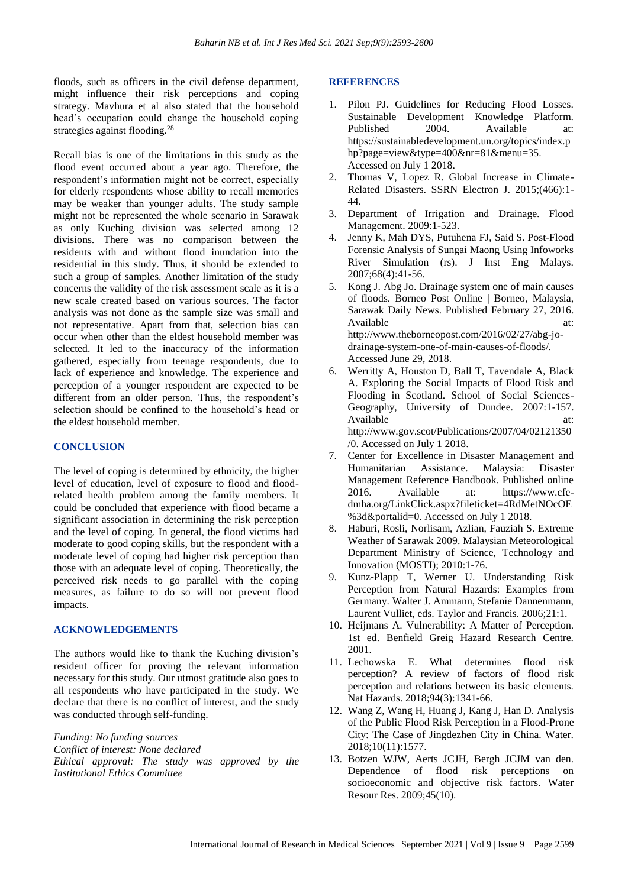floods, such as officers in the civil defense department, might influence their risk perceptions and coping strategy. Mavhura et al also stated that the household head's occupation could change the household coping strategies against flooding.<sup>28</sup>

Recall bias is one of the limitations in this study as the flood event occurred about a year ago. Therefore, the respondent's information might not be correct, especially for elderly respondents whose ability to recall memories may be weaker than younger adults. The study sample might not be represented the whole scenario in Sarawak as only Kuching division was selected among 12 divisions. There was no comparison between the residents with and without flood inundation into the residential in this study. Thus, it should be extended to such a group of samples. Another limitation of the study concerns the validity of the risk assessment scale as it is a new scale created based on various sources. The factor analysis was not done as the sample size was small and not representative. Apart from that, selection bias can occur when other than the eldest household member was selected. It led to the inaccuracy of the information gathered, especially from teenage respondents, due to lack of experience and knowledge. The experience and perception of a younger respondent are expected to be different from an older person. Thus, the respondent's selection should be confined to the household's head or the eldest household member.

#### **CONCLUSION**

The level of coping is determined by ethnicity, the higher level of education, level of exposure to flood and floodrelated health problem among the family members. It could be concluded that experience with flood became a significant association in determining the risk perception and the level of coping. In general, the flood victims had moderate to good coping skills, but the respondent with a moderate level of coping had higher risk perception than those with an adequate level of coping. Theoretically, the perceived risk needs to go parallel with the coping measures, as failure to do so will not prevent flood impacts.

#### **ACKNOWLEDGEMENTS**

The authors would like to thank the Kuching division's resident officer for proving the relevant information necessary for this study. Our utmost gratitude also goes to all respondents who have participated in the study. We declare that there is no conflict of interest, and the study was conducted through self-funding.

*Funding: No funding sources Conflict of interest: None declared Ethical approval: The study was approved by the Institutional Ethics Committee*

#### **REFERENCES**

- 1. Pilon PJ. Guidelines for Reducing Flood Losses. Sustainable Development Knowledge Platform. Published 2004. Available at: https://sustainabledevelopment.un.org/topics/index.p hp?page=view&type=400&nr=81&menu=35. Accessed on July 1 2018.
- 2. Thomas V, Lopez R. Global Increase in Climate-Related Disasters. SSRN Electron J. 2015;(466):1- 44.
- 3. Department of Irrigation and Drainage. Flood Management. 2009:1-523.
- 4. Jenny K, Mah DYS, Putuhena FJ, Said S. Post-Flood Forensic Analysis of Sungai Maong Using Infoworks River Simulation (rs). J Inst Eng Malays. 2007;68(4):41-56.
- 5. Kong J. Abg Jo. Drainage system one of main causes of floods. Borneo Post Online | Borneo, Malaysia, Sarawak Daily News. Published February 27, 2016. Available at: at: http://www.theborneopost.com/2016/02/27/abg-jodrainage-system-one-of-main-causes-of-floods/. Accessed June 29, 2018.
- 6. Werritty A, Houston D, Ball T, Tavendale A, Black A. Exploring the Social Impacts of Flood Risk and Flooding in Scotland. School of Social Sciences-Geography, University of Dundee. 2007:1-157. Available at: http://www.gov.scot/Publications/2007/04/02121350 /0. Accessed on July 1 2018.
- 7. Center for Excellence in Disaster Management and Humanitarian Assistance. Malaysia: Disaster Management Reference Handbook. Published online 2016. Available at: https://www.cfedmha.org/LinkClick.aspx?fileticket=4RdMetNOcOE %3d&portalid=0. Accessed on July 1 2018.
- 8. Haburi, Rosli, Norlisam, Azlian, Fauziah S. Extreme Weather of Sarawak 2009. Malaysian Meteorological Department Ministry of Science, Technology and Innovation (MOSTI); 2010:1-76.
- 9. Kunz-Plapp T, Werner U. Understanding Risk Perception from Natural Hazards: Examples from Germany. Walter J. Ammann, Stefanie Dannenmann, Laurent Vulliet, eds. Taylor and Francis. 2006;21:1.
- 10. Heijmans A. Vulnerability: A Matter of Perception. 1st ed. Benfield Greig Hazard Research Centre. 2001.
- 11. Lechowska E. What determines flood risk perception? A review of factors of flood risk perception and relations between its basic elements. Nat Hazards. 2018;94(3):1341-66.
- 12. Wang Z, Wang H, Huang J, Kang J, Han D. Analysis of the Public Flood Risk Perception in a Flood-Prone City: The Case of Jingdezhen City in China. Water. 2018;10(11):1577.
- 13. Botzen WJW, Aerts JCJH, Bergh JCJM van den. Dependence of flood risk perceptions on socioeconomic and objective risk factors. Water Resour Res. 2009;45(10).